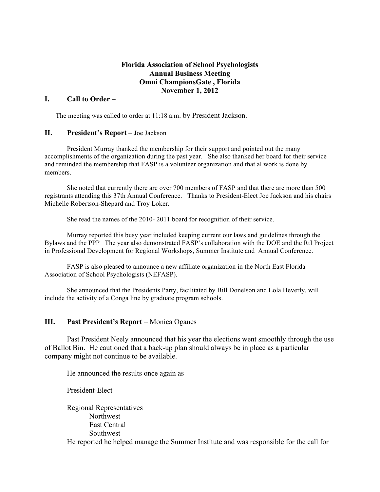## **Florida Association of School Psychologists Annual Business Meeting Omni ChampionsGate , Florida November 1, 2012**

#### **I. Call to Order** –

The meeting was called to order at 11:18 a.m. by President Jackson.

#### **II. President's Report** – Joe Jackson

President Murray thanked the membership for their support and pointed out the many accomplishments of the organization during the past year. She also thanked her board for their service and reminded the membership that FASP is a volunteer organization and that al work is done by members.

She noted that currently there are over 700 members of FASP and that there are more than 500 registrants attending this 37th Annual Conference. Thanks to President-Elect Joe Jackson and his chairs Michelle Robertson-Shepard and Troy Loker.

She read the names of the 2010- 2011 board for recognition of their service.

Murray reported this busy year included keeping current our laws and guidelines through the Bylaws and the PPP The year also demonstrated FASP's collaboration with the DOE and the RtI Project in Professional Development for Regional Workshops, Summer Institute and Annual Conference.

FASP is also pleased to announce a new affiliate organization in the North East Florida Association of School Psychologists (NEFASP).

She announced that the Presidents Party, facilitated by Bill Donelson and Lola Heverly, will include the activity of a Conga line by graduate program schools.

#### **III. Past President's Report** – Monica Oganes

Past President Neely announced that his year the elections went smoothly through the use of Ballot Bin. He cautioned that a back-up plan should always be in place as a particular company might not continue to be available.

He announced the results once again as

President-Elect

Regional Representatives Northwest East Central Southwest He reported he helped manage the Summer Institute and was responsible for the call for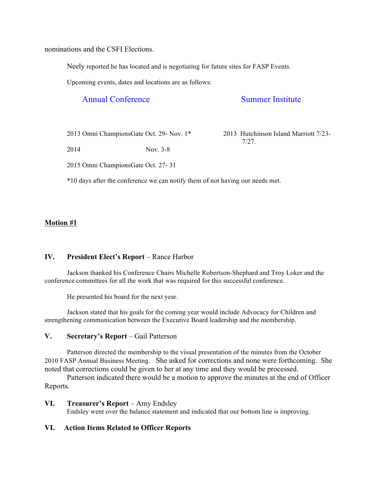nominations and the CSFI Elections.

Neely reported he has located and is negotiating for future sites for FASP Events.

Upcoming events, dates and locations are as follows:

# Annual Conference Summer Institute

2013 Omni ChampionsGate Oct. 29- Nov. 1\* 2013 Hutchinson Island Marriott 7/23-

7/27.

2014 Nov. 3-8

2015 Omni ChampionsGate Oct. 27- 31

\*10 days after the conference we can notify them of not having our needs met.

# **Motion #1**

# **IV. President Elect's Report** – Rance Harbor

Jackson thanked his Conference Chairs Michelle Robertson-Shephard and Troy Loker and the conference committees for all the work that was required for this successful conference.

He presented his board for the next year.

Jackson stated that his goals for the coming year would include Advocacy for Children and strengthening communication between the Executive Board leadership and the membership.

# **V. Secretary's Report** – Gail Patterson

Patterson directed the membership to the visual presentation of the minutes from the October 2010 FASP Annual Business Meeting. She asked for corrections and none were forthcoming. She noted that corrections could be given to her at any time and they would be processed.

Patterson indicated there would be a motion to approve the minutes at the end of Officer Reports.

# **VI. Treasurer's Report** – Amy Endsley

Endsley went over the balance statement and indicated that our bottom line is improving.

# **VI. Action Items Related to Officer Reports**